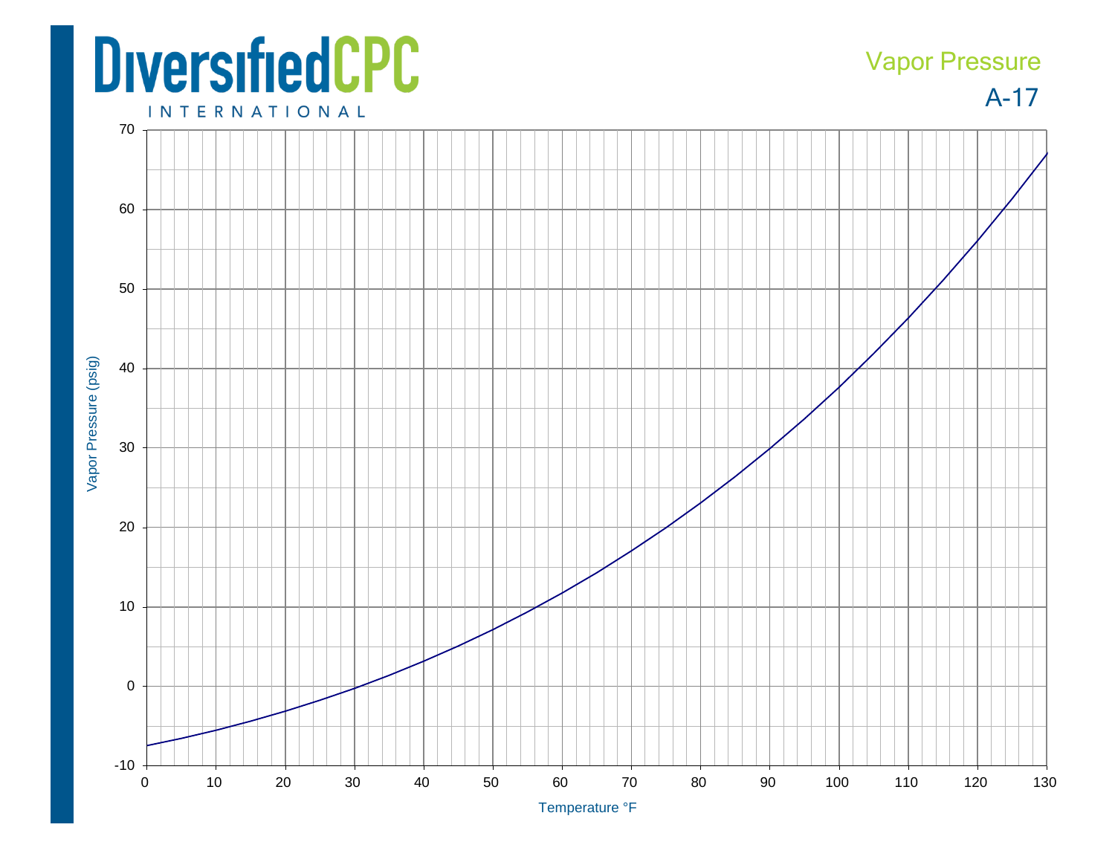## **DiversifiedCPC**

## A-17 Vapor Pressure

**INTERNATIONAL**